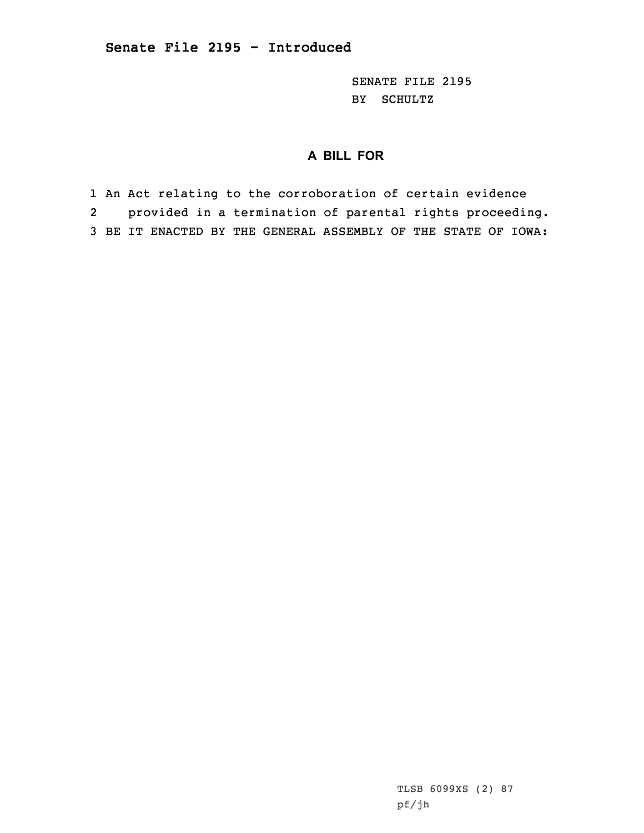SENATE FILE 2195 BY SCHULTZ

## **A BILL FOR**

1 An Act relating to the corroboration of certain evidence 2 provided in <sup>a</sup> termination of parental rights proceeding. 3 BE IT ENACTED BY THE GENERAL ASSEMBLY OF THE STATE OF IOWA:

> TLSB 6099XS (2) 87 pf/jh